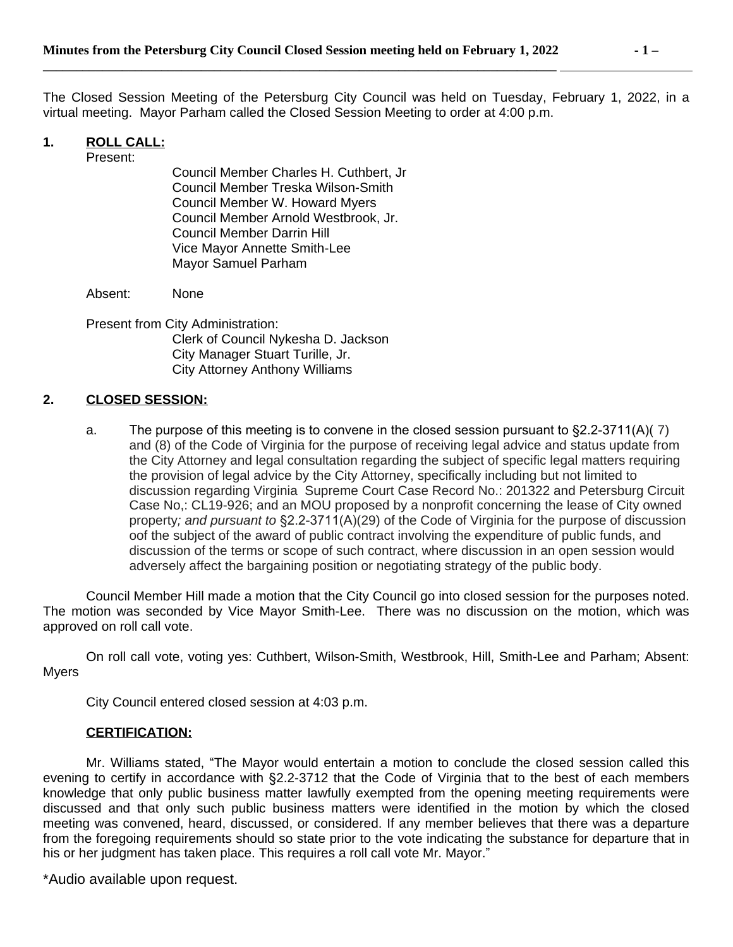The Closed Session Meeting of the Petersburg City Council was held on Tuesday, February 1, 2022, in a virtual meeting. Mayor Parham called the Closed Session Meeting to order at 4:00 p.m.

# **1. ROLL CALL:**

Present:

Council Member Charles H. Cuthbert, Jr Council Member Treska Wilson-Smith Council Member W. Howard Myers Council Member Arnold Westbrook, Jr. Council Member Darrin Hill Vice Mayor Annette Smith-Lee Mayor Samuel Parham

Absent: None

Present from City Administration: Clerk of Council Nykesha D. Jackson City Manager Stuart Turille, Jr. City Attorney Anthony Williams

#### **2. CLOSED SESSION:**

a. The purpose of this meeting is to convene in the closed session pursuant to §2.2-3711(A)( 7) and (8) of the Code of Virginia for the purpose of receiving legal advice and status update from the City Attorney and legal consultation regarding the subject of specific legal matters requiring the provision of legal advice by the City Attorney, specifically including but not limited to discussion regarding Virginia Supreme Court Case Record No.: 201322 and Petersburg Circuit Case No,: CL19-926; and an MOU proposed by a nonprofit concerning the lease of City owned property*; and pursuant to* §2.2-3711(A)(29) of the Code of Virginia for the purpose of discussion oof the subject of the award of public contract involving the expenditure of public funds, and discussion of the terms or scope of such contract, where discussion in an open session would adversely affect the bargaining position or negotiating strategy of the public body.

Council Member Hill made a motion that the City Council go into closed session for the purposes noted. The motion was seconded by Vice Mayor Smith-Lee. There was no discussion on the motion, which was approved on roll call vote.

On roll call vote, voting yes: Cuthbert, Wilson-Smith, Westbrook, Hill, Smith-Lee and Parham; Absent: Myers

City Council entered closed session at 4:03 p.m.

### **CERTIFICATION:**

Mr. Williams stated, "The Mayor would entertain a motion to conclude the closed session called this evening to certify in accordance with §2.2-3712 that the Code of Virginia that to the best of each members knowledge that only public business matter lawfully exempted from the opening meeting requirements were discussed and that only such public business matters were identified in the motion by which the closed meeting was convened, heard, discussed, or considered. If any member believes that there was a departure from the foregoing requirements should so state prior to the vote indicating the substance for departure that in his or her judgment has taken place. This requires a roll call vote Mr. Mayor."

\*Audio available upon request.